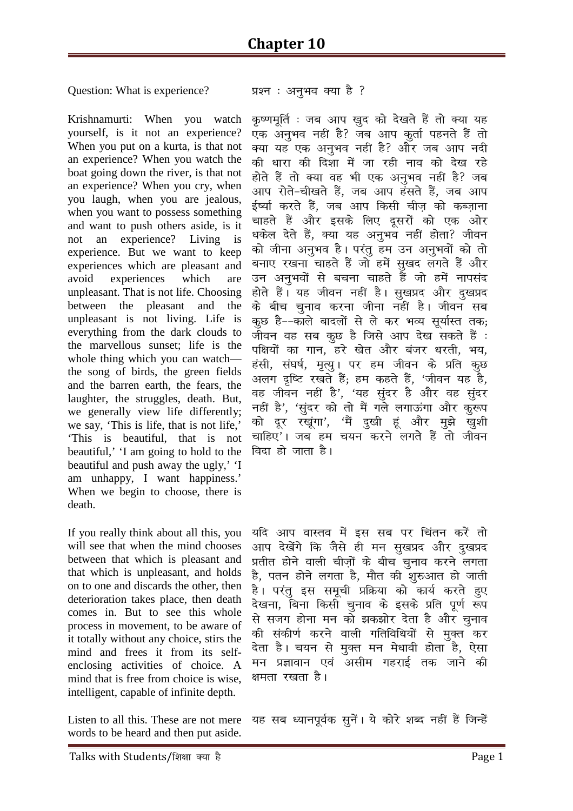## Question: What is experience? प्रश्न : अनुभव क्या है ?

Krishnamurti: When you watch yourself, is it not an experience? When you put on a kurta, is that not an experience? When you watch the boat going down the river, is that not an experience? When you cry, when you laugh, when you are jealous, when you want to possess something and want to push others aside, is it not an experience? Living is experience. But we want to keep experiences which are pleasant and avoid experiences which are unpleasant. That is not life. Choosing between the pleasant and the unpleasant is not living. Life is everything from the dark clouds to the marvellous sunset; life is the whole thing which you can watch the song of birds, the green fields and the barren earth, the fears, the laughter, the struggles, death. But, we generally view life differently; we say, 'This is life, that is not life,' 'This is beautiful, that is not beautiful,' 'I am going to hold to the beautiful and push away the ugly,' 'I am unhappy, I want happiness.' When we begin to choose, there is death.

If you really think about all this, you will see that when the mind chooses between that which is pleasant and that which is unpleasant, and holds on to one and discards the other, then deterioration takes place, then death comes in. But to see this whole process in movement, to be aware of it totally without any choice, stirs the mind and frees it from its selfenclosing activities of choice. A mind that is free from choice is wise, intelligent, capable of infinite depth.

Listen to all this. These are not mere words to be heard and then put aside.

*कृ*ष्णमूर्ति : जब आप ख़ुद को देखते हैं तो क्या यह एक अनुभव नहीं है? जब आप कर्ता पहनते हैं तो *क्*या यह एक अनुभव नहीं है? और जब आप नदी *की* धारा की दिशा में जा रही नाव को देख रहे होते हैं तो क्या वह भी एक अनुभव नहीं है? जब आप रोते-चीखते हैं, जब आप हंसते हैं, जब आप ईर्ष्या करते हैं, जब आप किसी चीज को कब्जाना चाहते हैं और इसके लिए दूसरों को एक ओर धकेल देते हैं, क्या यह अनुभव नहीं होता? जीवन *dks thuk vuqHko gSA ij arq ge mu vuqHkoksa dks rks*  बनाए रखना चाहते हैं जो हमें सुखद लगते हैं और *mu vuqHkoksa ls cpuk pkgrs gSa tks gesa ukilan*  होते हैं। यह जीवन नहीं है। सुखप्रद और दुखप्रद  $\dot{\sigma}$ के बीच चुनाव करना जीना नहीं है। जीवन सब *क्*छ है––काले बादलों से ले कर भव्य सुर्यास्त तक; *thou og lc dqN gS ftls vki ns[k ldrs gSa %*  पक्षियों का गान, हरे खेत और बंजर धरती, भय, हंसी, संघर्ष, मृत्यु। पर हम जीवन के प्रति कूछ अलग दृष्टि रखते हैं; हम कहते हैं, 'जीवन यह है, वह जीवन नहीं है', 'यह सुंदर है और वह सुंदर नहीं है', 'सुंदर को तो मैं गले लगाऊंगा और कुरूप *को दूर रखूंगा', '*मैं दुखी हूं और मुझे खुशी चाहिए'। जब हम चयन करने लगते हैं तो जीवन *fag हो जाता है।* 

यदि आप वास्तव में इस सब पर चिंतन करें तो आप देखेंगे कि जैसे ही मन सूखप्रद और <u>द</u>ुखप्रद *çrhr gksus okyh pht+ksa ds chp pquko djus yxrk gS] iru gksus yxrk gS] ekSr dh 'kq#vkr gks tkrh gSA ij arq bl lewph çfØ;k dks dk;Z djrs gq,*  देखना, बिना किसी चुनाव के इसके प्रति पूर्ण रूप *ls ltx gksuk eu dks >d>ksj nsrk gS vkSj pquko*  की संकीर्ण करने वाली गतिविधियों से मुक्त कर देता है। चयन से मुक्त मन मेधावी होता है, ऐसा मन प्रज्ञावान एवं असीम गहराई तक जाने की क्षमता रखता है।

यह सब ध्यानपूर्वक सुनें। ये कोरे शब्द नहीं हैं जिन्हें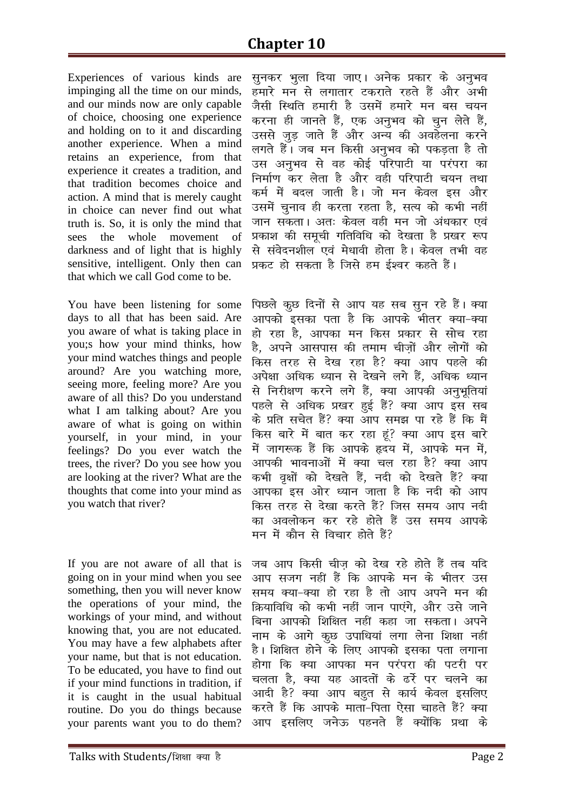Experiences of various kinds are impinging all the time on our minds, and our minds now are only capable of choice, choosing one experience and holding on to it and discarding another experience. When a mind retains an experience, from that experience it creates a tradition, and that tradition becomes choice and action. A mind that is merely caught in choice can never find out what truth is. So, it is only the mind that sees the whole movement of darkness and of light that is highly sensitive, intelligent. Only then can that which we call God come to be.

You have been listening for some days to all that has been said. Are you aware of what is taking place in you;s how your mind thinks, how your mind watches things and people around? Are you watching more, seeing more, feeling more? Are you aware of all this? Do you understand what I am talking about? Are you aware of what is going on within yourself, in your mind, in your feelings? Do you ever watch the trees, the river? Do you see how you are looking at the river? What are the thoughts that come into your mind as you watch that river?

If you are not aware of all that is going on in your mind when you see something, then you will never know the operations of your mind, the workings of your mind, and without knowing that, you are not educated. You may have a few alphabets after your name, but that is not education. To be educated, you have to find out if your mind functions in tradition, if it is caught in the usual habitual routine. Do you do things because your parents want you to do them?

*lqudj Hkqyk fn;k tk,A vusd çdkj ds vuqHko gekj s eu ls yxkrkj Vdjkrs jgrs gSa vkSj vHkh*  जैसी स्थिति हमारी है उसमें हमारे मन बस चयन *करना ही जानते हैं, एक अनुभव को चुन लेते हैं, mlls tqM+ tkrs gSa vkSj vU; dh vogsyuk djus yxrs gSaA tc eu fdlh vuqHko dks idM+rk gS rks ml vuqHko ls og dksb Z ifjikVh ;k ij aijk dk fuekZ.k dj ysrk gS vkSj ogh ifjikVh p;u rFkk*  कर्म में बदल जाती है। जो मन केवल इस और उसमें चनाव ही करता रहता है. सत्य को कभी नहीं *tku ldrkA vr% dsoy ogh eu tks va/kdkj ,oa çdk'k dh lewph xfrfof/k dks ns[krk gS ç[kj :i ls laosnu'khy ,oa es/kkoh gksrk gSA dsoy rHkh og çdV gks ldrk gS ftls ge b Z'oj dgrs gSaA* 

पिछले कुछ दिनों से आप यह सब सुन रहे हैं। क्या *vkidks bldk irk gS fd vkids Hkhrj D;k&D;k gks jgk gS] vkidk eu fdl çdkj ls lksp jgk*  है, अपने आसपास की तमाम चीजों और लोगों को *fdl rjg ls ns[k jgk gS\ D;k vki igys dh*  अपेक्षा अधिक ध्यान से देखने लगे हैं, अधिक ध्यान *ls fujh{k.k djus yxs gSa] D;k vkidh vuqHkwfr;ka पहले से अधिक प्रखर हुई हैं? क्या आप इस सब ds çfr lpsr gSa\ D;k vki le> ik jgs gSa fd eSa किस बारे में बात कर रहा हूं? क्या आप इस बारे esa tkx:d gSa fd vkids ân; esa] vkids eu esa]*  आपकी भावनाओं में क्या चल रहा है? क्या आप *dHkh o`{kksa dks ns[krs gSa] unh dks ns[krs gSa\ D;k vkidk bl vksj /;ku tkrk gS fd unh dks vki*  किस तरह से देखा करते हैं? जिस समय आप नदी *का अवलोकन कर रहे होते हैं उस समय आपके eu esa dkSu ls fopkj gksrs gSa\* 

*tc vki fdlh pht+ dks ns[k jgs gksrs gSa rc ;fn vki ltx ugÈ gSa fd vkids eu ds Hkhrj ml le; D;k&D;k gks jgk gS rks vki vius eu dh क्रियाविधि को कभी नहीं जान पाएंगे. और उसे जाने fcuk vkidks f'kf{kr ugÈ dgk tk ldrkA vius uke ds vkxs dqN mikf/k;ka yxk ysuk f'k{kk ugÈ gSA f'kf{kr gksus ds fy, vkidks bldk irk yxkuk*  होगा कि क्या आपका मन परंपरा की पटरी पर चलता है, क्या यह आदतों के ढर्रे पर चलने का आदी है? क्या आप बहुत से कार्य केवल इसलिए करते हैं कि आपके माता-पिता ऐसा चाहते हैं? क्या *vki blfy, tusÅ igurs gSa D;ksafd çFkk ds*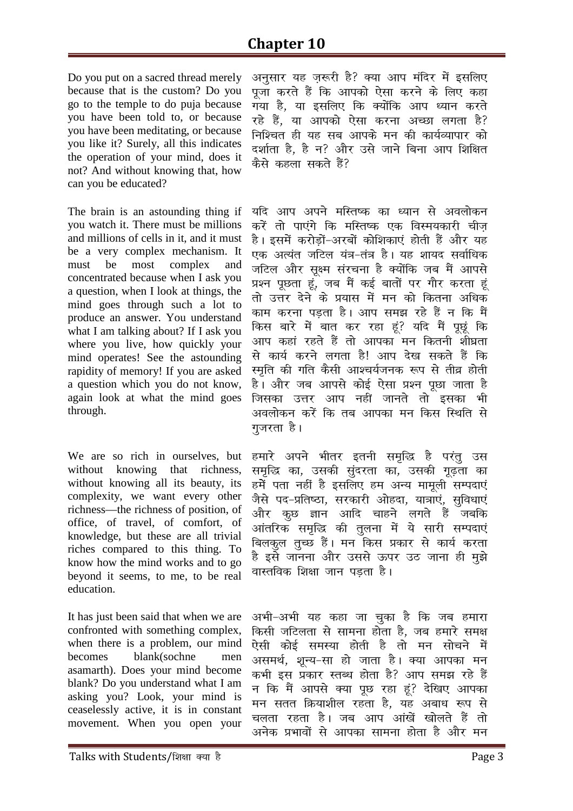Do you put on a sacred thread merely because that is the custom? Do you go to the temple to do puja because you have been told to, or because you have been meditating, or because you like it? Surely, all this indicates the operation of your mind, does it not? And without knowing that, how can you be educated?

The brain is an astounding thing if you watch it. There must be millions and millions of cells in it, and it must be a very complex mechanism. It must be most complex and concentrated because when I ask you a question, when I look at things, the mind goes through such a lot to produce an answer. You understand what I am talking about? If I ask you where you live, how quickly your mind operates! See the astounding rapidity of memory! If you are asked a question which you do not know, again look at what the mind goes through.

We are so rich in ourselves, but without knowing that richness, without knowing all its beauty, its complexity, we want every other richness—the richness of position, of office, of travel, of comfort, of knowledge, but these are all trivial riches compared to this thing. To know how the mind works and to go beyond it seems, to me, to be real education.

It has just been said that when we are confronted with something complex, when there is a problem, our mind becomes blank(sochne men asamarth). Does your mind become blank? Do you understand what I am asking you? Look, your mind is ceaselessly active, it is in constant movement. When you open your

अनसार यह जरूरी है? क्या आप मंदिर में इसलिए *iwtk djrs gSa fd vkidks ,slk djus ds fy, dgk x;k gS] ;k blfy, fd D;ksafd vki /;ku djrs*  रहे हैं, या आपको ऐसा करना अच्छा लगता है? *fuf'pr gh ;g lc vkids eu dh dk;ZO;kikj dks*  दर्शाता है, है न? और उसे जाने बिना आप शिक्षित *dSls dgyk ldrs gSa\* 

यदि आप अपने मस्तिष्क का ध्यान से अवलोकन करें तो पाएंगे कि मस्तिष्क एक विस्मयकारी चीज *gSA blesa djksM+ksa&vjcksa dksf'kdk,a gksrh gSa vkSj ;g*  एक अत्यंत जटिल यंत्र-तंत्र है। यह शायद सर्वाधिक जटिल और सक्ष्म संरचना है क्योंकि जब मैं आपसे *ç'u iwNrk gwa] tc eSa db Z ckrksa ij xkSj djrk gwa rks mŸkj nsus ds ç;kl esa eu dks fdruk vf/kd dke djuk iM+rk gSA vki le> jgs gSa u fd eSa*  किस बारे में बात कर रहा हूं? यदि मैं पूछूं कि *vki dgka jgrs gSa rks vkidk eu fdruh 'kh?kzrk ls dk;Z djus yxrk gS! vki ns[k ldrs gSa fd Le`fr dh xfr dSlh vk'p;Ztud :i ls rhoz gksrh*  है। और जब आपसे कोई ऐसा प्रश्न पछा जाता है *ftldk mŸkj vki ugÈ tkurs rks bldk Hkh*  अवलोकन करें कि तब आपका मन किस स्थिति से *गु*जरता है।

हमारे अपने भीतर इतनी समृद्धि है परंतु उस *le`f) dk] mldh lqanjrk dk] mldh xw<+rk dk gesa irk ugha gS blfy, ge vU; ekewyh lEink,a*  .<br>जैसे पद-प्रतिष्ठा, सरकारी ओहदा, यात्राएं, सुविधाएं और कूछ ज्ञान आदि चाहने लगते हैं जबकि आंतरिक समृद्धि की तुलना में ये सारी सम्पदाएं बिलकल तच्छ हैं। मन किस प्रकार से कार्य करता *gS bls tkuuk vkSj mlls Åij mB tkuk gh eq>s वास्त*विक शिक्षा जान पडता है।

*vHkh&vHkh ;g dgk tk pqdk gS fd tc gekjk किसी जटिलता से सामना होता है*, जब हमारे समक्ष .<br>ऐसी कोई समस्या होती है तो मन सोचने में असमर्थ, शून्य-सा हो जाता है। क्या आपका मन कभी इस प्रकार स्तब्ध होता है? आप समझ रहे हैं न कि मैं आपसे क्या पृछ रहा हूं? देखिए आपका मन सतत क्रियाशील रहता है. यह अबाध रूप से चलता रहता है। जब आप आंखें खोलते हैं तो अनेक प्रभावों से आपका सामना होता है और मन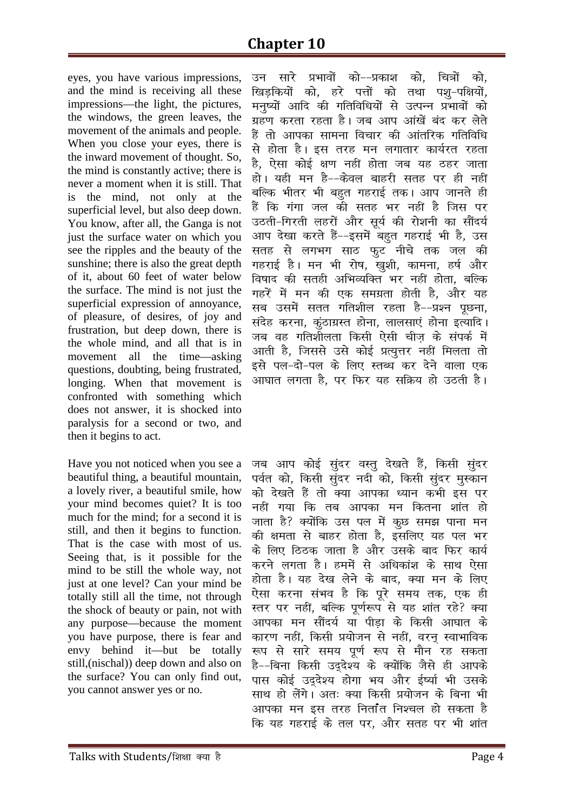eyes, you have various impressions, and the mind is receiving all these impressions—the light, the pictures, the windows, the green leaves, the movement of the animals and people. When you close your eyes, there is the inward movement of thought. So, the mind is constantly active; there is never a moment when it is still. That is the mind, not only at the superficial level, but also deep down. You know, after all, the Ganga is not just the surface water on which you see the ripples and the beauty of the sunshine; there is also the great depth of it, about 60 feet of water below the surface. The mind is not just the superficial expression of annoyance, of pleasure, of desires, of joy and frustration, but deep down, there is the whole mind, and all that is in movement all the time—asking questions, doubting, being frustrated, longing. When that movement is confronted with something which does not answer, it is shocked into paralysis for a second or two, and then it begins to act.

Have you not noticed when you see a beautiful thing, a beautiful mountain, a lovely river, a beautiful smile, how your mind becomes quiet? It is too much for the mind; for a second it is still, and then it begins to function. That is the case with most of us. Seeing that, is it possible for the mind to be still the whole way, not just at one level? Can your mind be totally still all the time, not through the shock of beauty or pain, not with any purpose—because the moment you have purpose, there is fear and envy behind it—but be totally still,(nischal)) deep down and also on the surface? You can only find out, you cannot answer yes or no.

*mu lkj s çHkkoksa dks&&çdk'k dks] fp=ksa dks] f[kM+fd;ksa dks] gj s iÙkksa dks rFkk i'kq&if{k;ksa]*  मनृष्यों आदि की गतिविधियों से उत्पन्न प्रभावों को *xzg.k djrk jgrk gSA tc vki vka[ksa can dj ysrs gSa rks vkidk lkeuk fopkj dh vkarfjd xfrfof/k ls gksrk gSA bl rjg eu yxkrkj dk;Zjr jgrk*  है. ऐसा कोई क्षण नहीं होता जब यह ठहर जाता *gksA ;gh eu gS&&dsoy ckgjh lrg ij gh ugÈ*  बल्कि भीतर भी बहुत गहराई तक। आप जानते ही *gSa fd xaxk ty dh lrg Hkj ugÈ gS ftl ij*  उठती-गिरती लहरों और सर्य की रोशनी का सौंदर्य आप देखा करते हैं--इसमें बहुत गहराई भी है, उस *lrg ls yxHkx lkB QqV uhps rd ty dh*  गहराई है। मन भी रोष, खुशी, कामना, हर्ष और *fo"kkn dh lrgh vfHkO;fDr Hkj ugÈ gksrk] cfYd x*j <sub>7</sub> and *x* and *ya khang diff* in the case in the case in the case  $\frac{1}{2}$  in the case in the case in the case in the case in the case in the case in the case in the case in the case in the case in the case in the *lc mlesa lrr xfr'khy jgrk gS&&ç'u iwNuk] lansg djuk] daqBkxzLr gksuk] ykylk,a gksuk bR;kfnA*  जब वह गतिशीलता किसी ऐसी चीज के संपर्क में आती है, जिससे उसे कोई प्रत्यूत्तर नहीं मिलता तो इसे पल-दो-पल के लिए स्तब्ध कर देने वाला एक *vk?kkr yxrk gS] ij fQj ;g lfØ; gks mBrh gSA* 

जब आप कोई सुंदर वस्तु देखते हैं, किसी सुंदर पर्वत को, किसी सुंदर नदी को, किसी सुंदर मुस्कान को देखते हैं तो क्या आपका ध्यान कभी इस पर नहीं गया कि तब आपका मन कितना शांत हो *tkrk gS\ D;ksafd ml iy esa dqN le> ikuk eu dh {kerk ls ckgj gksrk gS] blfy, ;g iy Hkj*  के लिए ठिठक जाता है और उसके बाद फिर कार्य करने लगता है। हममें से अधिकांश के साथ ऐसा होता है। यह देख लेने के बाद, क्या मन के लिए ऐसा करना संभव है कि पूरे समय तक, एक ह<mark>ी</mark> *Lrj ij ugÈ] cfYd iw.kZ:i ls ;g 'kkar jgs\ D;k vkidk eu lkSan;Z ;k ihM+k ds fdlh vk?kkr ds कारण नहीं, किसी प्रयोजन से नहीं, वरन स्वाभाविक* :<br>रूप से सारे समय पूर्ण रूप से मौन रह सकता *gS&&fcuk fdlh mn~ns'; ds D;ksafd tSls gh vkids*  पास कोई उददेश्य होगा भय और ईर्ष्या भी उसके *lkFk gks ysaxsA vr% D;k fdlh ç;kstu ds fcuk Hkh vkidk eu bl rjg furkaar fu'py gks ldrk gS कि यह गहराई के तल पर, और सतह पर भी शांत*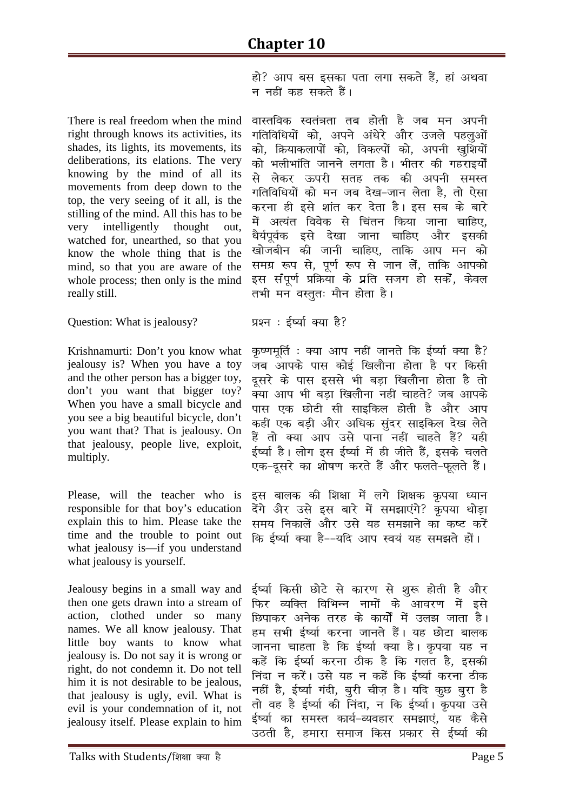हो? आप बस इसका पता लगा सकते हैं, हां अथवा न नहीं कह सकते हैं।

There is real freedom when the mind right through knows its activities, its shades, its lights, its movements, its deliberations, its elations. The very knowing by the mind of all its movements from deep down to the top, the very seeing of it all, is the stilling of the mind. All this has to be very intelligently thought out. watched for, unearthed, so that you know the whole thing that is the mind, so that you are aware of the whole process; then only is the mind really still.

Question: What is jealousy?

Krishnamurti: Don't you know what jealousy is? When you have a tov and the other person has a bigger toy, don't you want that bigger toy? When you have a small bicycle and you see a big beautiful bicycle, don't you want that? That is jealousy. On that jealousy, people live, exploit, multiply.

Please, will the teacher who is responsible for that boy's education explain this to him. Please take the time and the trouble to point out what jealousy is-if you understand what jealousy is yourself.

Jealousy begins in a small way and then one gets drawn into a stream of action, clothed under so many names. We all know jealousy. That little boy wants to know what jealousy is. Do not say it is wrong or right, do not condemn it. Do not tell him it is not desirable to be jealous, that jealousy is ugly, evil. What is evil is your condemnation of it, not jealousy itself. Please explain to him

वास्तविक स्वतंत्रता तब होती है जब मन अपनी गतिविधियों को, अपने अंधेरे और उजले पहलुओं को, क्रियाकलापों को, विकल्पों को, अपनी खुशियों को भलीभांति जानने लगता है। भीतर की गहराइर्यों से लेकर ऊपरी सतह तक की अपनी समस<mark>्</mark>त गतिविधियों को मन जब देख-जान लेता है. तो ऐसा करना ही इसे शांत कर देता है। इस सब के बारे में अत्यंत विवेक से चिंतन किया जाना चाहिए. धैर्यपर्वक इसे देखा जाना चाहिए और इसकी खोजबीन की जानी चाहिए, ताकि आप मन को समग्र रूप से, पूर्ण रूप से जान लें, ताकि आपको इस संपूर्ण प्रक्रिया के प्रति सजग हो सकें, केवल तभी मन वस्तुतः मौन होता है।

प्रश्न: ईर्ष्या क्या है?

कृष्णमूर्ति : क्या आप नहीं जानते कि ईर्ष्या क्या है? जब आपके पास कोई खिलौना होता है पर किसी दुसरे के पास इससे भी बडा खिलौना होता है तो क्या आप भी बड़ा खिलौना नहीं चाहते? जब आपके पास एक छोटी सी साइकिल होती है और आप कहीं एक बड़ी और अधिक सुंदर साइकिल देख लेते हैं तो क्या आप उसे पाना नहीं चाहते हैं? यही ईर्ष्या है। लोग इस ईर्ष्या में ही जीते हैं. इसके चलते एक-दूसरे का शोषण करते हैं और फलते-फूलते हैं।

इस बालक की शिक्षा में लगे शिक्षक कृपया ध्यान देंगे और उसे इस बारे में समझाएंगे? कृपया थोड़ा समय निकालें और उसे यह समझाने का कष्ट करें कि ईर्ष्या क्या है--यदि आप स्वयं यह समझते हों।

ईर्ष्या किसी छोटे से कारण से शुरू होती है और फिर व्यक्ति विभिन्न नामों के आवरण में इसे <u>छिपाकर अनेक तरह के कार्यों में उलझ जाता है।</u> हम सभी ईर्ष्या करना जानते हैं। यह छोटा बालक जानना चाहता है कि ईर्ष्या क्या है। कृपया यह न कहें कि ईर्ष्या करना ठीक है कि गलत है, इसकी निंदा न करें। उसे यह न कहें कि ईर्ष्या करना ठीक नहीं है, ईर्ष्या गंदी, बरी चीज है। यदि कुछ बरा है तो वह है ईर्ष्या की निंदा, न कि ईर्ष्या। कृपया उसे ईर्ष्या का समस्त कार्य-व्यवहार समझाएं, यह कैसे उठती है, हमारा समाज किस प्रकार से ईर्ष्या की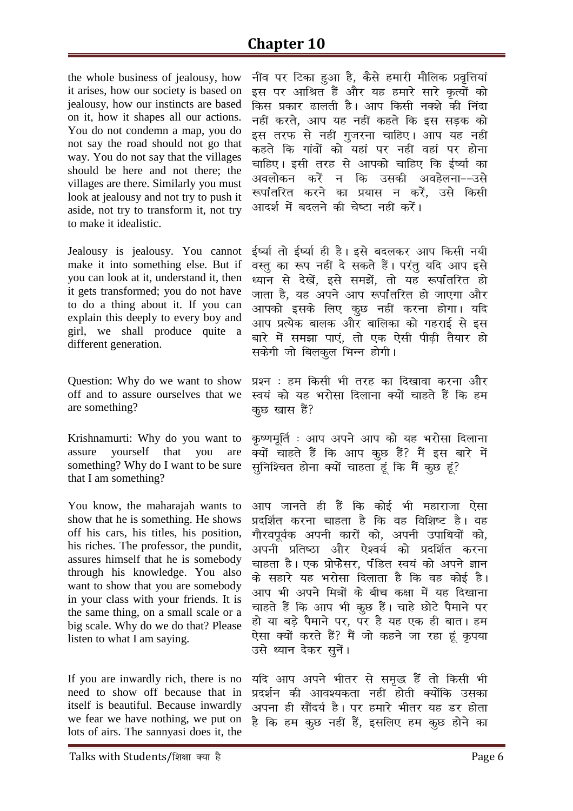## **Chapter 10**

the whole business of jealousy, how it arises, how our society is based on jealousy, how our instincts are based on it, how it shapes all our actions. You do not condemn a map, you do not say the road should not go that way. You do not say that the villages should be here and not there; the villages are there. Similarly you must look at jealousy and not try to push it aside, not try to transform it, not try to make it idealistic.

Jealousy is jealousy. You cannot make it into something else. But if you can look at it, understand it, then it gets transformed; you do not have to do a thing about it. If you can explain this deeply to every boy and girl, we shall produce quite a different generation.

Question: Why do we want to show off and to assure ourselves that we are something?

Krishnamurti: Why do you want to yourself that you assure are something? Why do I want to be sure that I am something?

You know, the maharajah wants to show that he is something. He shows off his cars, his titles, his position, his riches. The professor, the pundit, assures himself that he is somebody through his knowledge. You also want to show that you are somebody in your class with your friends. It is the same thing, on a small scale or a big scale. Why do we do that? Please listen to what I am saying.

If you are inwardly rich, there is no need to show off because that in itself is beautiful. Because inwardly we fear we have nothing, we put on lots of airs. The sannyasi does it, the

नींव पर टिका हुआ है, कैसे हमारी मौलिक प्रवृत्तियां इस पर आश्रित हैं और यह हमारे सारे कृत्यों को किस प्रकार ढालती है। आप किसी नक्शे की निंदा नहीं करते, आप यह नहीं कहते कि इस सड़क को इस तरफ से नहीं गुजरना चाहिए। आप यह नहीं कहते कि गांवों को यहां पर नहीं वहां पर होना चाहिए। इसी तरह से आपको चाहिए कि ईर्ष्या का अवलोकन करें न कि उसकी अवहेलना––उसे रूपांतरित करने का प्रयास न करें, उसे किसी आदर्श में बदलने की चेष्टा नहीं करें।

ईर्ष्या तो ईर्ष्या ही है। इसे बदलकर आप किसी नयी वस्तू का रूप नहीं दे सकते हैं। परंतु यदि आप इसे ध्यान से देखें, इसे समझें, तो यह रूपांतरित हो जाता है. यह अपने आप रूपाँतरित हो जाएगा और आपको इसके लिए कूछ नहीं करना होगा। यदि आप प्रत्येक बालक और बालिका को गहराई से इस बारे में समझा पाएं. तो एक ऐसी पीढी तैयार हो सकेगी जो बिलकुल भिन्न होगी।

प्रश्न : हम किसी भी तरह का दिखावा करना और स्वयं को यह भरोसा दिलाना क्यों चाहते हैं कि हम कुछ खास हैं?

कृष्णमूर्ति : आप अपने आप को यह भरोसा दिलाना ज्यों चाहते हैं कि आप कूछ हैं? मैं इस बारे में सूनिश्चित होना क्यों चाहता हूं कि मैं कूछ हूं?

आप जानते ही हैं कि कोई भी महाराजा ऐसा प्रदर्शित करना चाहता है कि वह विशिष्ट है। वह गौरवपूर्वक अपनी कारों को, अपनी उपाधियों को, अपनी प्रतिष्ठा और ऐश्वर्य को प्रदर्शित करना चाहता है। एक प्रोफेसर, पंडित स्वयं को अपने ज्ञान के सहारे यह भरोसा दिलाता है कि वह कोई है। आप भी अपने मित्रों के बीच कक्षा में यह दिखाना चाहते हैं कि आप भी कृछ हैं। चाहे छोटे पैमाने पर हो या बड़े पैमाने पर, पर है यह एक ही बात। हम .<br>ऐसा क्यों करते हैं? मैं जो कहने जा रहा हूं कृपया उसे ध्यान देकर सुनें।

यदि आप अपने भीतर से समृद्ध हैं तो किसी भी प्रदर्शन की आवश्यकता नहीं होती क्योंकि उसका अपना ही सौंदर्य है। पर हमारे भीतर यह डर होता है कि हम कूछ नहीं हैं, इसलिए हम कूछ होने का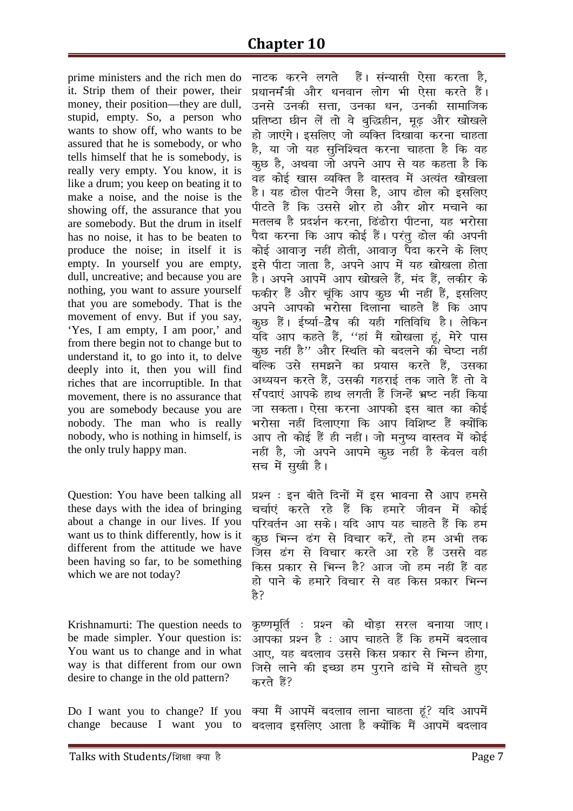prime ministers and the rich men do it. Strip them of their power, their money, their position—they are dull, stupid, empty. So, a person who wants to show off, who wants to be assured that he is somebody, or who tells himself that he is somebody, is really very empty. You know, it is like a drum; you keep on beating it to make a noise, and the noise is the showing off, the assurance that you are somebody. But the drum in itself has no noise, it has to be beaten to produce the noise; in itself it is empty. In yourself you are empty, dull, uncreative; and because you are nothing, you want to assure yourself that you are somebody. That is the movement of envy. But if you say, 'Yes, I am empty, I am poor,' and from there begin not to change but to understand it, to go into it, to delve deeply into it, then you will find riches that are incorruptible. In that movement, there is no assurance that you are somebody because you are nobody. The man who is really nobody, who is nothing in himself, is the only truly happy man.

Question: You have been talking all these days with the idea of bringing about a change in our lives. If you want us to think differently, how is it different from the attitude we have been having so far, to be something which we are not today?

Krishnamurti: The question needs to be made simpler. Your question is: You want us to change and in what way is that different from our own desire to change in the old pattern?

Do I want you to change? If you

*ukVd djus yxrs gSaA laU;klh ,slk djrk gS]*  yधानमंत्री और धनवान लोग भी ऐसा करते हैं। उनसे उनकी सत्ता, उनका धन, उनकी सामाजिक प्रतिष्ठा छीन लें तो वे बुद्धिहीन, मूढ़ और खोखले हो जाएंगे। इसलिए जो व्यक्ति दिखावा करना चाहता *gS] ;k tks ;g lqfuf'pr djuk pkgrk gS fd og dqN gS] vFkok tks vius vki ls ;g dgrk gS fd og dksb Z [kkl O;fDr gS okLro esa vR;ar [kks[kyk*  है। यह ढोल पीटने जैसा है. आप ढोल को इसलिए *ihVrs gSa fd mlls 'kksj gks vkSj 'kksj epkus dk*  मतलब है प्रदर्शन करना, ढिंढोरा पीटना, यह भरोसा पैदा करना कि आप कोई हैं। परंतु ढोल की अपनी *dksb Z vkokt++ ugÈ gksrh] vkokt++ iSnk djus ds fy,*  इसे पीटा जाता है, अपने आप में यह खोखला होता *gSA vius vkiesa vki [kks[kys gSa] ean gSa] ydhj ds Qdhj gSa vkSj pwafd vki dqN Hkh ugÈ gSa] blfy,*  अपने आपको भरोसा दिलाना चाहते हैं कि आप कुछ हैं। ईर्ष्या-देेेेेेष की यही गतिविधि है। लेकिन ्<sub>ठ</sub><br>यदि आप कहते हैं, ''हां मैं खोखला हूं, मेरे पास *कू*छ नहीं है'' और स्थिति को बदलने की चेष्टा नहीं *cfYd mls le>us dk ç;kl djrs gSa] mldk*  अध्ययन करते हैं, उसकी गहराई तक जाते हैं तो वे *laaink,a vkids gkFk yxrh gSa ftUgsa Hkz"V ugÈ fd;k*  जा सकता। ऐसा करना आपको इस बात का कोई *Hkjkslk ugÈ fnyk,xk fd vki fof'k"V gSa D;ksafd vki rks dksb Z gSa gh ugÈA tks euq"; okLro esa dksbZ ugÈ gS] tks vius vkies dqN ugÈ gS dsoy ogh*  सच में सखी है।

*ç'u % bu chrs fnuksa esa bl Hkkouk ls vki gels ppkZ,a djrs jgs gSa fd gekj s thou esa dksbZ परिवर्तन आ सके। यदि आप यह चाहते हैं कि हम क्*छ भिन्न ढंग से विचार करें, तो हम अभी तक जिस ढंग से विचार करते आ रहे हैं उससे वह *fdl çdkj ls fHkUu gS\ vkt tks ge ugÈ gSa og gks ikus ds gekj s fopkj ls og fdl çdkj fHkUu gS\* 

*कृ*ष्णमूर्ति : प्रश्न को थोड़ा सरल बनाया जाए। *vkidk ç'u gS % vki pkgrs gSa fd geesa cnyko आ*ए, यह बदलाव उससे किस प्रकार से भिन्न होगा, *ftls ykus dh bPNk ge iqjkus <kaps esa lksprs gq,*  करते हैं?

change because I want you to *D;k eSa vkiesa cnyko ykuk pkgrk gwa\ ;fn vkiesa cnyko blfy, vkrk gS D;ksafd eSa vkiesa cnyko*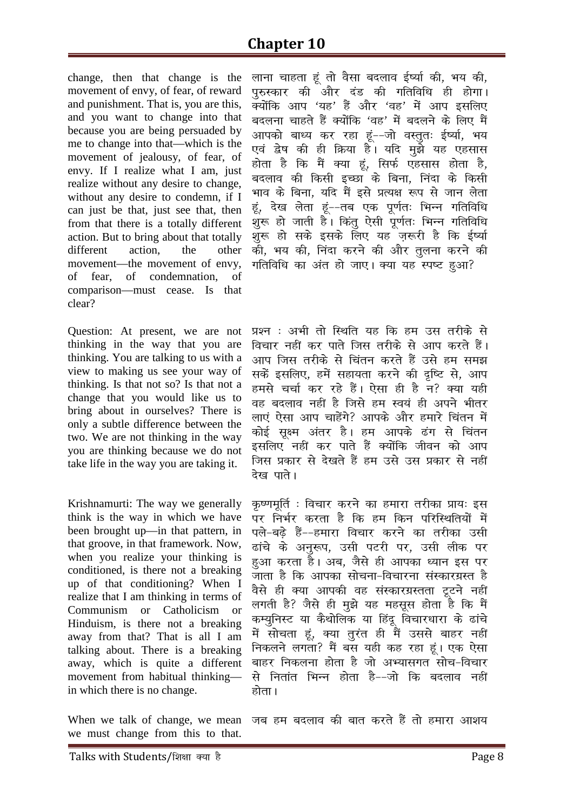change, then that change is the movement of envy, of fear, of reward and punishment. That is, you are this, and you want to change into that because you are being persuaded by me to change into that—which is the movement of jealousy, of fear, of envy. If I realize what I am, just realize without any desire to change, without any desire to condemn, if I can just be that, just see that, then from that there is a totally different action. But to bring about that totally different action, the other movement—the movement of envy, of fear, of condemnation, of comparison—must cease. Is that clear?

Question: At present, we are not thinking in the way that you are thinking. You are talking to us with a view to making us see your way of thinking. Is that not so? Is that not a change that you would like us to bring about in ourselves? There is only a subtle difference between the two. We are not thinking in the way you are thinking because we do not take life in the way you are taking it.

Krishnamurti: The way we generally think is the way in which we have been brought up—in that pattern, in that groove, in that framework. Now, when you realize your thinking is conditioned, is there not a breaking up of that conditioning? When I realize that I am thinking in terms of Communism or Catholicism or Hinduism, is there not a breaking away from that? That is all I am talking about. There is a breaking away, which is quite a different movement from habitual thinking in which there is no change.

*ykuk pkgrk gwa rks oSlk cnyko b Z";kZ dh] Hk; dh] पुरुस्कार की और दंड की गतिविधि ही होगा*। *क्यों*कि आप 'यह' हैं और 'वह' में आप इसलिए *cnyuk pkgrs gSa D;ksafd ^og\* esa cnyus ds fy, eSa*  आपको बाध्य कर रहा हूं--जो वस्तुतः ईर्ष्या, भय एवं द्वेष की ही क्रिया है। यदि <u>म</u>ुझे यह एहसास *gksrk gS fd eSa D;k gwa] flQZ ,glkl gksrk gS] cnyko dh fdlh bPNk ds fcuk] fuank ds fdlh*  भाव के बिना, यदि मैं इसे प्रत्यक्ष रूप से जान लेता हं, देख लेता हं--तब एक पूर्णतः भिन्न गतिविधि ्<br>शुरू हो जाती है<sup>ं</sup>। किंतु ऐसी पूर्णतः भिन्न गतिविधि *'kq: gks lds blds fy, ;g t+:jh gS fd b Z";kZ dh] Hk; dh] fuank djus dh vkSj rqyuk djus dh xfrfof/k dk var gks tk,A D;k ;g Li"V gqvk\* 

*ç'u % vHkh rks fLFkfr ;g fd ge ml rjhds ls fopkj ugÈ dj ikrs ftl rjhds ls vki djrs gSaA*  आप जिस तरीके से चिंतन करते हैं उसे हम समझ सकें इसलिए, हमें सहायता करने की दृष्टि से, आप हमसे चर्चा कर रहे हैं। ऐसा ही है न? क्या यही *og cnyko ugÈ gS ftls ge Lo;a gh vius Hkhrj ला*एं ऐसा आप चाहेंगे? आपके और हमारे चिंतन में कोई सूक्ष्म अंतर है। हम आपके ढंग से चिंतन इसलिए नहीं कर पाते हैं क्योंकि जीवन को आप *ftl çdkj ls ns[krs gSa ge mls ml çdkj ls ugÈ*  देख पाते।

कृष्णमूर्ति : विचार करने का हमारा तरीका प्रायः इस *ij fuHkZj djrk gS fd ge fdu ifjfLFkfr;ksa esa प*ले-बढे हैं--हमारा विचार करने का तरीका उसी *<kaps ds vuq:i] mlh iVjh ij] mlh yhd ij*  हुआ करता है। अब, जैसे ही आपका ध्यान इस पर *tkrk gS fd vkidk lkspuk&fopkjuk laLdkjxzLr gS oSls gh D;k vkidh og laLdkjxzLrrk VwVus ugÈ yxrh gS\ tSls gh eq>s ;g eglwl gksrk gS fd eSa dE;qfuLV ;k dSFkksfyd ;k fganw fopkj/kkjk ds <kaps esa lksprk gwa] D;k rqj ar gh eSa mlls ckgj ugÈ fudyus yxrk\ eSa cl ;gh dg jgk gwaA ,d ,slk ckgj fudyuk gksrk gS tks vH;klxr lksp&fopkj ls furkar fHkUu gksrk gS&&tks fd cnyko ugÈ होता* ।

When we talk of change, we mean we must change from this to that. *tc ge cnyko dh ckr djrs gSa rks gekjk vk'k;*